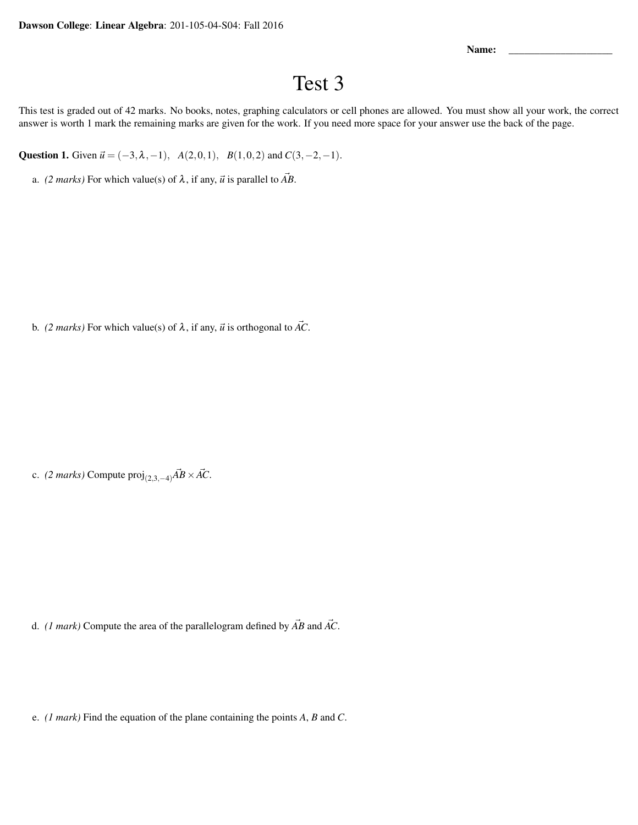Name:

## Test 3

This test is graded out of 42 marks. No books, notes, graphing calculators or cell phones are allowed. You must show all your work, the correct answer is worth 1 mark the remaining marks are given for the work. If you need more space for your answer use the back of the page.

Question 1. Given  $\vec{u} = (-3, \lambda, -1)$ ,  $A(2,0,1)$ ,  $B(1,0,2)$  and  $C(3,-2,-1)$ .

a. *(2 marks)* For which value(s) of  $\lambda$ , if any,  $\vec{u}$  is parallel to  $\vec{AB}$ .

b. *(2 marks)* For which value(s) of  $\lambda$ , if any,  $\vec{u}$  is orthogonal to  $\vec{AC}$ .

c. *(2 marks)* Compute  $\text{proj}_{(2,3,-4)}\vec{AB}\times\vec{AC}$ .

d. *(1 mark)* Compute the area of the parallelogram defined by  $\vec{AB}$  and  $\vec{AC}$ .

e. *(1 mark)* Find the equation of the plane containing the points *A*, *B* and *C*.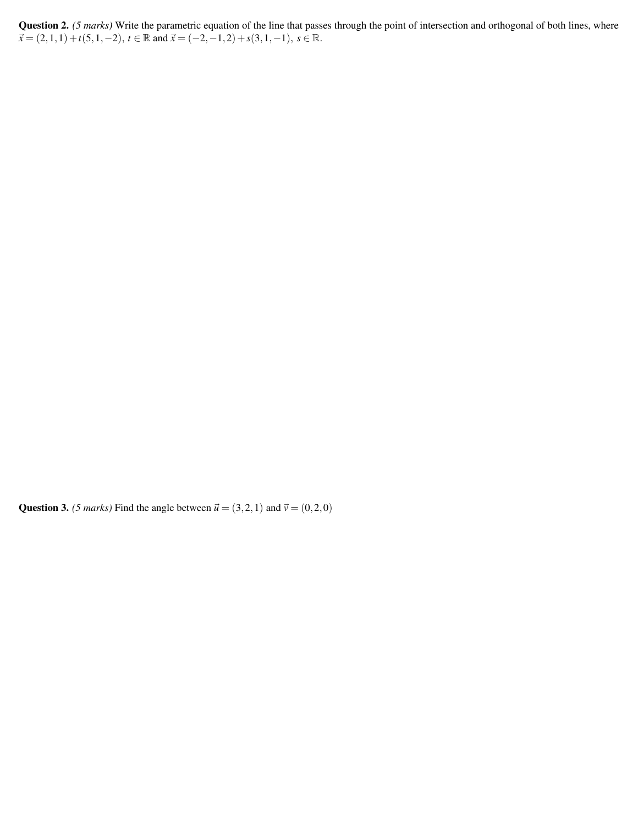Question 2. *(5 marks)* Write the parametric equation of the line that passes through the point of intersection and orthogonal of both lines, where  $\vec{x}$  = (2, 1, 1) + *t*(5, 1, -2), *t* ∈ R and  $\vec{x}$  = (-2, -1,2) + *s*(3, 1, -1), *s* ∈ R.

Question 3. *(5 marks)* Find the angle between  $\vec{u} = (3,2,1)$  and  $\vec{v} = (0,2,0)$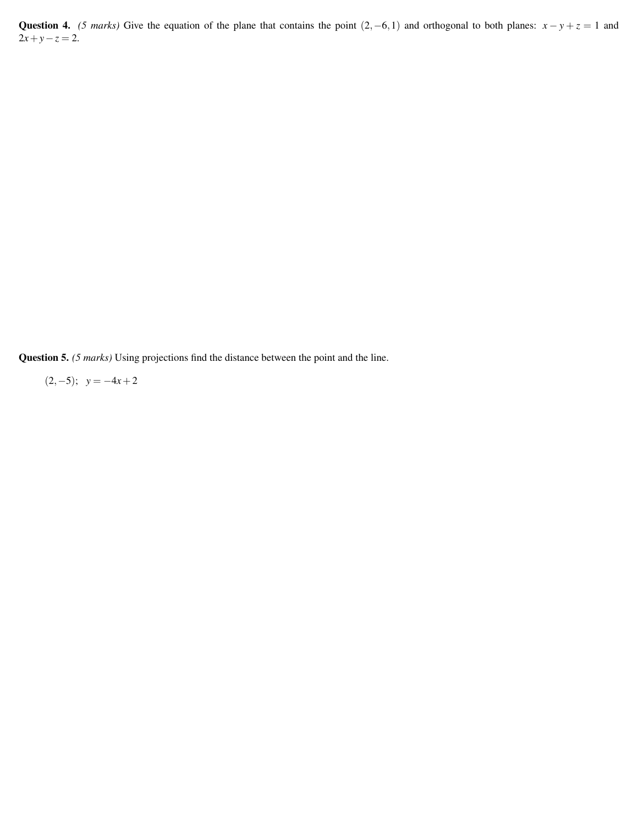Question 4. *(5 marks)* Give the equation of the plane that contains the point  $(2, -6, 1)$  and orthogonal to both planes:  $x - y + z = 1$  and  $2x + y - z = 2.$ 

Question 5. *(5 marks)* Using projections find the distance between the point and the line.

 $(2,-5);$  *y* = −4*x* + 2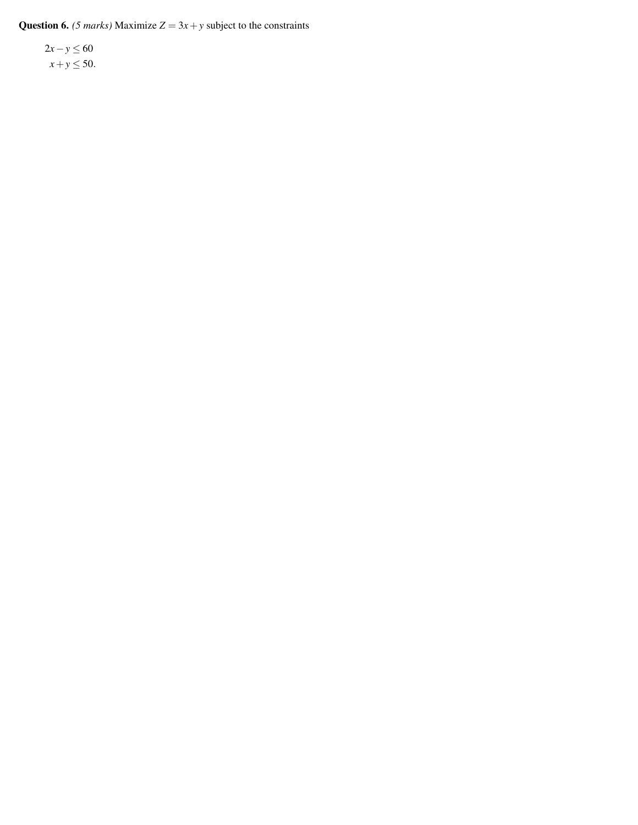**Question 6.** *(5 marks)* Maximize  $Z = 3x + y$  subject to the constraints

2*x*−*y* ≤ 60  $x + y \le 50$ .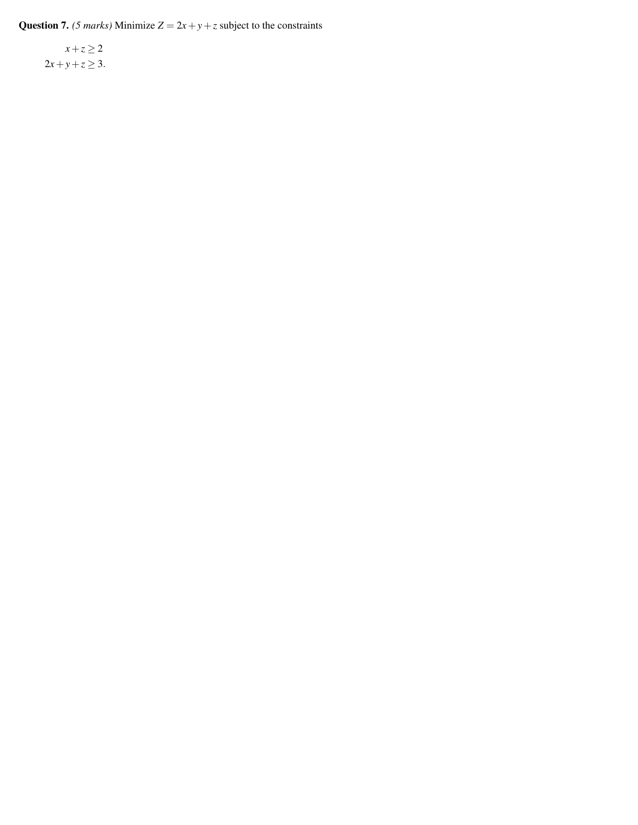**Question 7.** *(5 marks)* Minimize  $Z = 2x + y + z$  subject to the constraints

 $x + z \geq 2$ 2*x* + *y* + *z*  $\ge$  3.